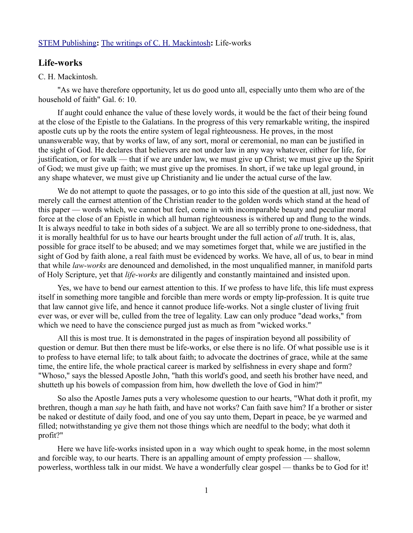## [STEM Publishing](http://www.stempublishing.com/)**:** [The writings of C. H. Mackintosh](http://www.stempublishing.com/authors/mackintosh/index.html)**:** Life-works

## **Life-works**

## C. H. Mackintosh.

"As we have therefore opportunity, let us do good unto all, especially unto them who are of the household of faith" Gal. 6: 10.

If aught could enhance the value of these lovely words, it would be the fact of their being found at the close of the Epistle to the Galatians. In the progress of this very remarkable writing, the inspired apostle cuts up by the roots the entire system of legal righteousness. He proves, in the most unanswerable way, that by works of law, of any sort, moral or ceremonial, no man can be justified in the sight of God. He declares that believers are not under law in any way whatever, either for life, for justification, or for walk — that if we are under law, we must give up Christ; we must give up the Spirit of God; we must give up faith; we must give up the promises. In short, if we take up legal ground, in any shape whatever, we must give up Christianity and lie under the actual curse of the law.

We do not attempt to quote the passages, or to go into this side of the question at all, just now. We merely call the earnest attention of the Christian reader to the golden words which stand at the head of this paper — words which, we cannot but feel, come in with incomparable beauty and peculiar moral force at the close of an Epistle in which all human righteousness is withered up and flung to the winds. It is always needful to take in both sides of a subject. We are all so terribly prone to one-sidedness, that it is morally healthful for us to have our hearts brought under the full action of *all* truth. It is, alas, possible for grace itself to be abused; and we may sometimes forget that, while we are justified in the sight of God by faith alone, a real faith must be evidenced by works. We have, all of us, to bear in mind that while *law-works* are denounced and demolished, in the most unqualified manner, in manifold parts of Holy Scripture, yet that *life-works* are diligently and constantly maintained and insisted upon.

Yes, we have to bend our earnest attention to this. If we profess to have life, this life must express itself in something more tangible and forcible than mere words or empty lip-profession. It is quite true that law cannot give life, and hence it cannot produce life-works. Not a single cluster of living fruit ever was, or ever will be, culled from the tree of legality. Law can only produce "dead works," from which we need to have the conscience purged just as much as from "wicked works."

All this is most true. It is demonstrated in the pages of inspiration beyond all possibility of question or demur. But then there must be life-works, or else there is no life. Of what possible use is it to profess to have eternal life; to talk about faith; to advocate the doctrines of grace, while at the same time, the entire life, the whole practical career is marked by selfishness in every shape and form? "Whoso," says the blessed Apostle John, "hath this world's good, and seeth his brother have need, and shutteth up his bowels of compassion from him, how dwelleth the love of God in him?"

So also the Apostle James puts a very wholesome question to our hearts, "What doth it profit, my brethren, though a man *say* he hath faith, and have not works? Can faith save him? If a brother or sister be naked or destitute of daily food, and one of you say unto them, Depart in peace, be ye warmed and filled; notwithstanding ye give them not those things which are needful to the body; what doth it profit?"

Here we have life-works insisted upon in a way which ought to speak home, in the most solemn and forcible way, to our hearts. There is an appalling amount of empty profession — shallow, powerless, worthless talk in our midst. We have a wonderfully clear gospel — thanks be to God for it!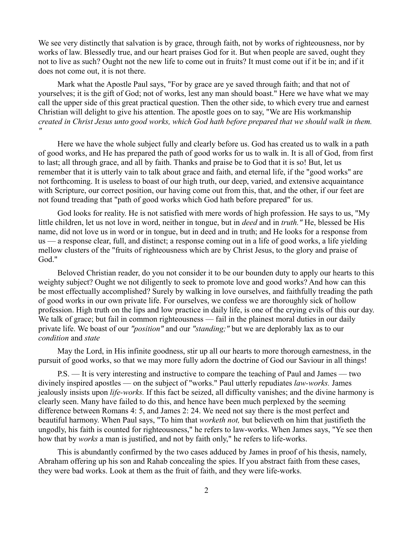We see very distinctly that salvation is by grace, through faith, not by works of righteousness, nor by works of law. Blessedly true, and our heart praises God for it. But when people are saved, ought they not to live as such? Ought not the new life to come out in fruits? It must come out if it be in; and if it does not come out, it is not there.

Mark what the Apostle Paul says, "For by grace are ye saved through faith; and that not of yourselves; it is the gift of God; not of works, lest any man should boast." Here we have what we may call the upper side of this great practical question. Then the other side, to which every true and earnest Christian will delight to give his attention. The apostle goes on to say, "We are His workmanship *created in Christ Jesus unto good works, which God hath before prepared that we should walk in them. "*

Here we have the whole subject fully and clearly before us. God has created us to walk in a path of good works, and He has prepared the path of good works for us to walk in. It is all of God, from first to last; all through grace, and all by faith. Thanks and praise be to God that it is so! But, let us remember that it is utterly vain to talk about grace and faith, and eternal life, if the "good works" are not forthcoming. It is useless to boast of our high truth, our deep, varied, and extensive acquaintance with Scripture, our correct position, our having come out from this, that, and the other, if our feet are not found treading that "path of good works which God hath before prepared" for us.

God looks for reality. He is not satisfied with mere words of high profession. He says to us, "My little children, let us not love in word, neither in tongue, but in *deed* and in *truth."* He, blessed be His name, did not love us in word or in tongue, but in deed and in truth; and He looks for a response from us — a response clear, full, and distinct; a response coming out in a life of good works, a life yielding mellow clusters of the "fruits of righteousness which are by Christ Jesus, to the glory and praise of God."

Beloved Christian reader, do you not consider it to be our bounden duty to apply our hearts to this weighty subject? Ought we not diligently to seek to promote love and good works? And how can this be most effectually accomplished? Surely by walking in love ourselves, and faithfully treading the path of good works in our own private life. For ourselves, we confess we are thoroughly sick of hollow profession. High truth on the lips and low practice in daily life, is one of the crying evils of this our day. We talk of grace; but fail in common righteousness — fail in the plainest moral duties in our daily private life. We boast of our *"position"* and our *"standing;"* but we are deplorably lax as to our *condition* and *state* 

May the Lord, in His infinite goodness, stir up all our hearts to more thorough earnestness, in the pursuit of good works, so that we may more fully adorn the doctrine of God our Saviour in all things!

P.S. — It is very interesting and instructive to compare the teaching of Paul and James — two divinely inspired apostles — on the subject of "works." Paul utterly repudiates *law-works.* James jealously insists upon *life-works.* If this fact be seized, all difficulty vanishes; and the divine harmony is clearly seen. Many have failed to do this, and hence have been much perplexed by the seeming difference between Romans 4: 5, and James 2: 24. We need not say there is the most perfect and beautiful harmony. When Paul says, "To him that *worketh not,* but believeth on him that justifieth the ungodly, his faith is counted for righteousness," he refers to law-works. When James says, "Ye see then how that by *works* a man is justified, and not by faith only," he refers to life-works.

This is abundantly confirmed by the two cases adduced by James in proof of his thesis, namely, Abraham offering up his son and Rahab concealing the spies. If you abstract faith from these cases, they were bad works. Look at them as the fruit of faith, and they were life-works.